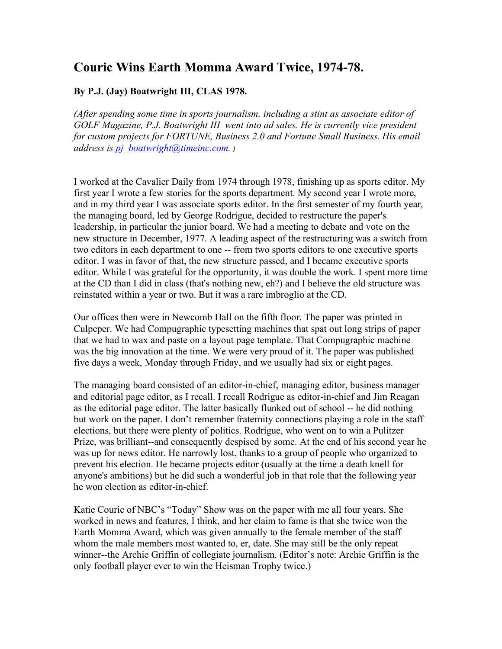## **Couric Wins Earth Momma Award Twice, 1974-78.**

## **By P.J. (Jay) Boatwright III, CLAS 1978.**

*(After spending some time in sports journalism, including a stint as associate editor of GOLF Magazine, P.J. Boatwright III went into ad sales. He is currently vice president for custom projects for FORTUNE, Business 2.0 and Fortune Small Business*. *His email address is [pj\\_boatwright@timeinc.com](mailto:pj_boatwright@timeinc.com). )*

I worked at the Cavalier Daily from 1974 through 1978, finishing up as sports editor. My first year I wrote a few stories for the sports department. My second year I wrote more, and in my third year I was associate sports editor. In the first semester of my fourth year, the managing board, led by George Rodrigue, decided to restructure the paper's leadership, in particular the junior board. We had a meeting to debate and vote on the new structure in December, 1977. A leading aspect of the restructuring was a switch from two editors in each department to one -- from two sports editors to one executive sports editor. I was in favor of that, the new structure passed, and I became executive sports editor. While I was grateful for the opportunity, it was double the work. I spent more time at the CD than I did in class (that's nothing new, eh?) and I believe the old structure was reinstated within a year or two. But it was a rare imbroglio at the CD.

Our offices then were in Newcomb Hall on the fifth floor. The paper was printed in Culpeper. We had Compugraphic typesetting machines that spat out long strips of paper that we had to wax and paste on a layout page template. That Compugraphic machine was the big innovation at the time. We were very proud of it. The paper was published five days a week, Monday through Friday, and we usually had six or eight pages.

The managing board consisted of an editor-in-chief, managing editor, business manager and editorial page editor, as I recall. I recall Rodrigue as editor-in-chief and Jim Reagan as the editorial page editor. The latter basically flunked out of school -- he did nothing but work on the paper. I don't remember fraternity connections playing a role in the staff elections, but there were plenty of politics. Rodrigue, who went on to win a Pulitzer Prize, was brilliant--and consequently despised by some. At the end of his second year he was up for news editor. He narrowly lost, thanks to a group of people who organized to prevent his election. He became projects editor (usually at the time a death knell for anyone's ambitions) but he did such a wonderful job in that role that the following year he won election as editor-in-chief.

Katie Couric of NBC's "Today" Show was on the paper with me all four years. She worked in news and features, I think, and her claim to fame is that she twice won the Earth Momma Award, which was given annually to the female member of the staff whom the male members most wanted to, er, date. She may still be the only repeat winner--the Archie Griffin of collegiate journalism. (Editor's note: Archie Griffin is the only football player ever to win the Heisman Trophy twice.)